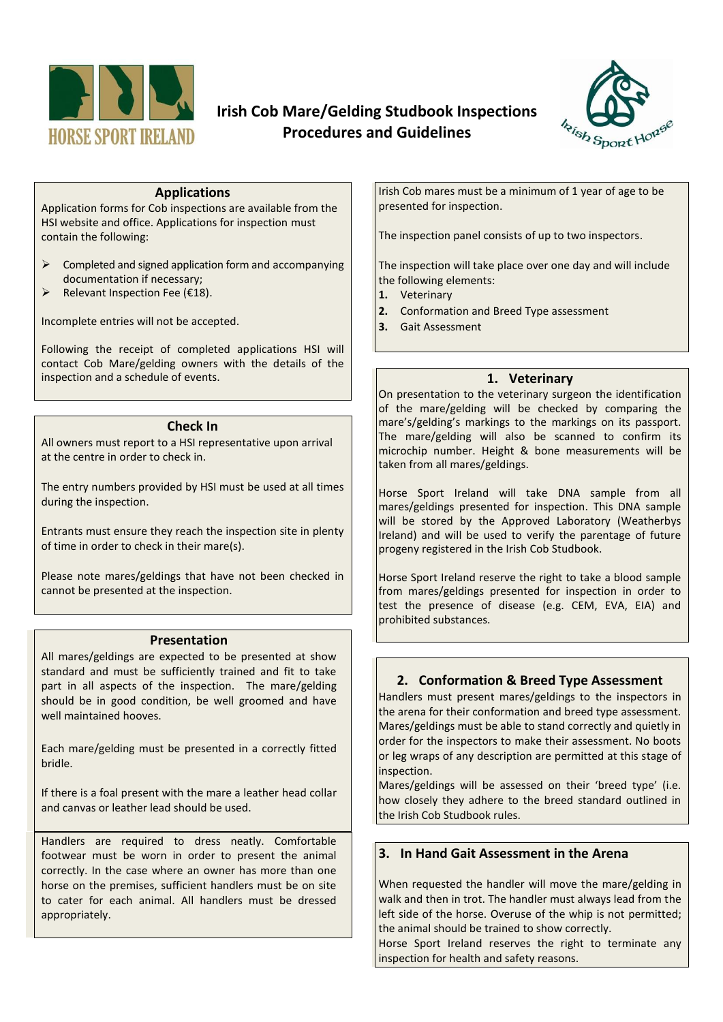

## **Irish Cob Mare/Gelding Studbook Inspections Procedures and Guidelines**



#### **Applications**

Application forms for Cob inspections are available from the HSI website and office. Applications for inspection must contain the following:

- $\triangleright$  Completed and signed application form and accompanying documentation if necessary;
- $\triangleright$  Relevant Inspection Fee (€18).

Incomplete entries will not be accepted.

Following the receipt of completed applications HSI will contact Cob Mare/gelding owners with the details of the inspection and a schedule of events.

#### **Check In**

All owners must report to a HSI representative upon arrival at the centre in order to check in.

The entry numbers provided by HSI must be used at all times during the inspection.

Entrants must ensure they reach the inspection site in plenty of time in order to check in their mare(s).

Please note mares/geldings that have not been checked in cannot be presented at the inspection.

#### **Presentation**

All mares/geldings are expected to be presented at show standard and must be sufficiently trained and fit to take part in all aspects of the inspection. The mare/gelding should be in good condition, be well groomed and have well maintained hooves.

Each mare/gelding must be presented in a correctly fitted bridle.

If there is a foal present with the mare a leather head collar and canvas or leather lead should be used.

Handlers are required to dress neatly. Comfortable footwear must be worn in order to present the animal correctly. In the case where an owner has more than one horse on the premises, sufficient handlers must be on site to cater for each animal. All handlers must be dressed appropriately.

Irish Cob mares must be a minimum of 1 year of age to be presented for inspection.

The inspection panel consists of up to two inspectors.

The inspection will take place over one day and will include the following elements:

- **1.** Veterinary
- **2.** Conformation and Breed Type assessment
- **3.** Gait Assessment

#### **1. Veterinary**

On presentation to the veterinary surgeon the identification of the mare/gelding will be checked by comparing the mare's/gelding's markings to the markings on its passport. The mare/gelding will also be scanned to confirm its microchip number. Height & bone measurements will be taken from all mares/geldings.

Horse Sport Ireland will take DNA sample from all mares/geldings presented for inspection. This DNA sample will be stored by the Approved Laboratory (Weatherbys Ireland) and will be used to verify the parentage of future progeny registered in the Irish Cob Studbook.

Horse Sport Ireland reserve the right to take a blood sample from mares/geldings presented for inspection in order to test the presence of disease (e.g. CEM, EVA, EIA) and prohibited substances.

#### **2. Conformation & Breed Type Assessment**

Handlers must present mares/geldings to the inspectors in the arena for their conformation and breed type assessment. Mares/geldings must be able to stand correctly and quietly in order for the inspectors to make their assessment. No boots or leg wraps of any description are permitted at this stage of inspection.

Mares/geldings will be assessed on their 'breed type' (i.e. how closely they adhere to the breed standard outlined in the Irish Cob Studbook rules.

#### **3. In Hand Gait Assessment in the Arena**

When requested the handler will move the mare/gelding in walk and then in trot. The handler must always lead from the left side of the horse. Overuse of the whip is not permitted; the animal should be trained to show correctly.

Horse Sport Ireland reserves the right to terminate any inspection for health and safety reasons.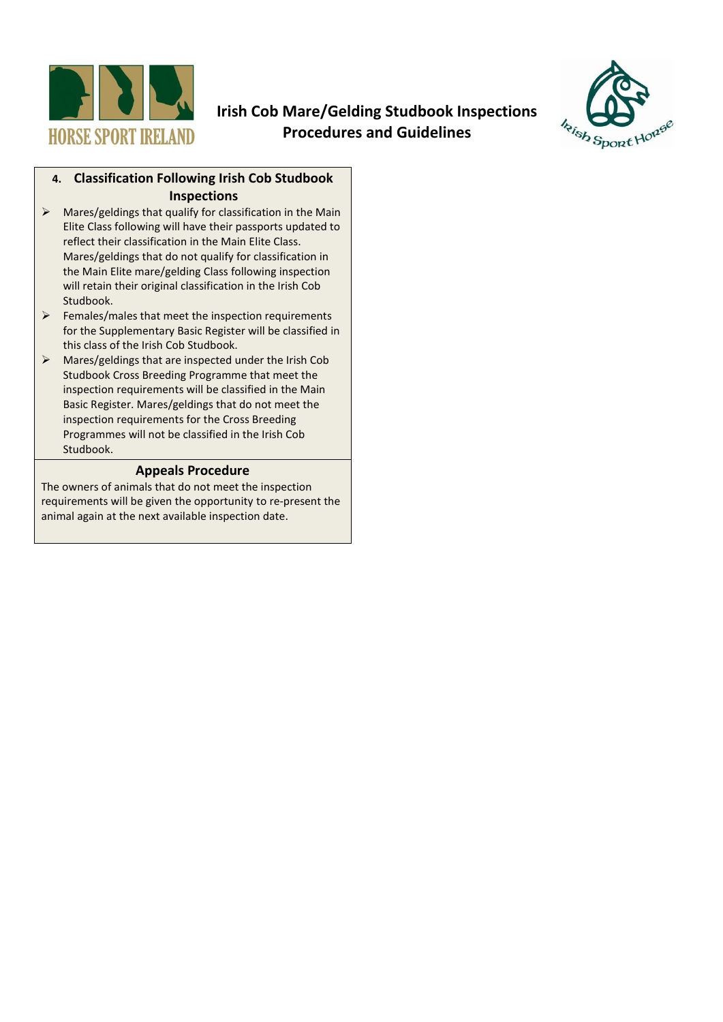

## **Irish Cob Mare/Gelding Studbook Inspections Procedures and Guidelines**



### **4. Classification Following Irish Cob Studbook Inspections**

- $\triangleright$  Mares/geldings that qualify for classification in the Main Elite Class following will have their passports updated to reflect their classification in the Main Elite Class. Mares/geldings that do not qualify for classification in the Main Elite mare/gelding Class following inspection will retain their original classification in the Irish Cob Studbook.
- $\triangleright$  Females/males that meet the inspection requirements for the Supplementary Basic Register will be classified in this class of the Irish Cob Studbook.
- Mares/geldings that are inspected under the Irish Cob Studbook Cross Breeding Programme that meet the inspection requirements will be classified in the Main Basic Register. Mares/geldings that do not meet the inspection requirements for the Cross Breeding Programmes will not be classified in the Irish Cob Studbook.

### **Appeals Procedure**

The owners of animals that do not meet the inspection requirements will be given the opportunity to re-present the animal again at the next available inspection date.